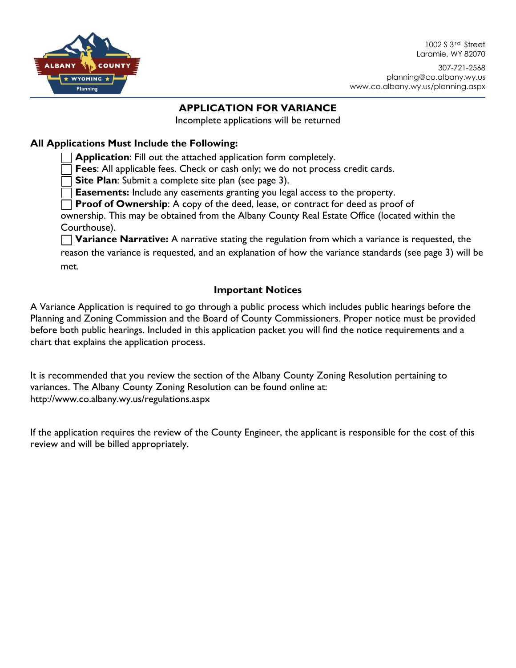1002 S 3<sup>rd</sup> Street Laramie, WY 82070



307-721-2568 planning@co.albany.wy.us www.co.albany.wy.us/planning.aspx

# **APPLICATION FOR VARIANCE**

Incomplete applications will be returned

## **All Applications Must Include the Following:**

**Application**: Fill out the attached application form completely.

**Fees**: All applicable fees. Check or cash only; we do not process credit cards.

**Site Plan**: Submit a complete site plan (see page 3).

**Easements:** Include any easements granting you legal access to the property.

**Proof of Ownership:** A copy of the deed, lease, or contract for deed as proof of

ownership. This may be obtained from the Albany County Real Estate Office (located within the Courthouse).

**Variance Narrative:** A narrative stating the regulation from which a variance is requested, the reason the variance is requested, and an explanation of how the variance standards (see page 3) will be met.

## **Important Notices**

A Variance Application is required to go through a public process which includes public hearings before the Planning and Zoning Commission and the Board of County Commissioners. Proper notice must be provided before both public hearings. Included in this application packet you will find the notice requirements and a chart that explains the application process.

It is recommended that you review the section of the Albany County Zoning Resolution pertaining to variances. The Albany County Zoning Resolution can be found online at: http://www.co.albany.wy.us/regulations.aspx

If the application requires the review of the County Engineer, the applicant is responsible for the cost of this review and will be billed appropriately.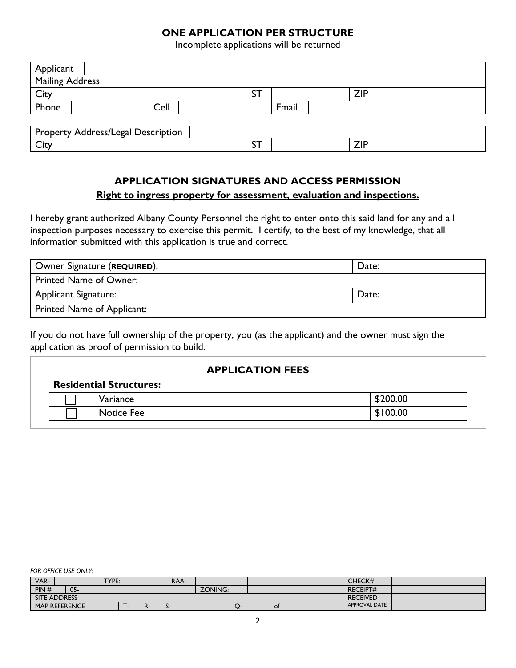## **ONE APPLICATION PER STRUCTURE**

Incomplete applications will be returned

| Applicant                          |  |      |    |       |  |            |  |  |
|------------------------------------|--|------|----|-------|--|------------|--|--|
| <b>Mailing Address</b>             |  |      |    |       |  |            |  |  |
| City                               |  |      | C. |       |  | <b>ZIP</b> |  |  |
| Phone                              |  | Cell |    | Email |  |            |  |  |
|                                    |  |      |    |       |  |            |  |  |
| Property Address/Legal Description |  |      |    |       |  |            |  |  |
| City                               |  |      | د  |       |  | <b>ZIP</b> |  |  |

# **APPLICATION SIGNATURES AND ACCESS PERMISSION Right to ingress property for assessment, evaluation and inspections.**

I hereby grant authorized Albany County Personnel the right to enter onto this said land for any and all inspection purposes necessary to exercise this permit. I certify, to the best of my knowledge, that all information submitted with this application is true and correct.

| Owner Signature (REQUIRED):   |  | Date: |
|-------------------------------|--|-------|
| <b>Printed Name of Owner:</b> |  |       |
| Applicant Signature:          |  | Date: |
| Printed Name of Applicant:    |  |       |

If you do not have full ownership of the property, you (as the applicant) and the owner must sign the application as proof of permission to build.

| <b>APPLICATION FEES</b>        |            |          |  |  |  |  |
|--------------------------------|------------|----------|--|--|--|--|
| <b>Residential Structures:</b> |            |          |  |  |  |  |
|                                | Variance   | \$200.00 |  |  |  |  |
|                                | Notice Fee | \$100.00 |  |  |  |  |

*FOR OFFICE USE ONLY:*

| VAR-                 |    | TYPE: |  | RAA- |         |    | CHECK#               |
|----------------------|----|-------|--|------|---------|----|----------------------|
| PIN#                 | 05 |       |  |      | ZONING: |    | <b>RECEIPT#</b>      |
| <b>SITE ADDRESS</b>  |    |       |  |      |         |    | <b>RECEIVED</b>      |
| <b>MAP REFERENCE</b> |    |       |  |      |         | O1 | <b>APPROVAL DATE</b> |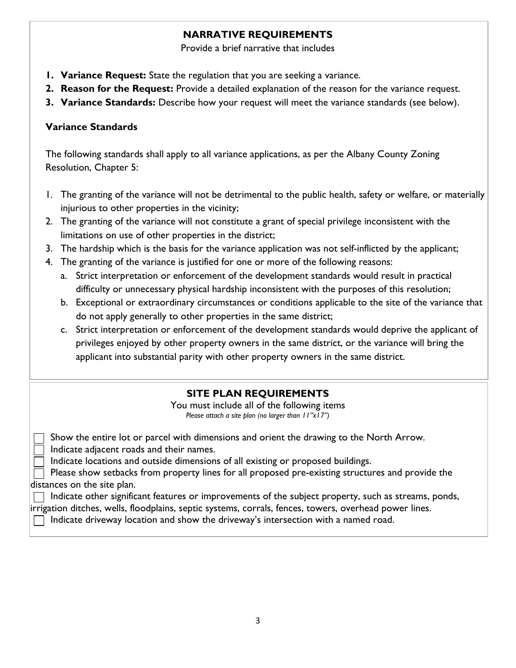# **NARRATIVE REQUIREMENTS**

Provide a brief narrative that includes

- **1. Variance Request:** State the regulation that you are seeking a variance.
- **2. Reason for the Request:** Provide a detailed explanation of the reason for the variance request.
- **3. Variance Standards:** Describe how your request will meet the variance standards (see below).

## **Variance Standards**

The following standards shall apply to all variance applications, as per the Albany County Zoning Resolution, Chapter 5:

- 1. The granting of the variance will not be detrimental to the public health, safety or welfare, or materially injurious to other properties in the vicinity;
- 2. The granting of the variance will not constitute a grant of special privilege inconsistent with the limitations on use of other properties in the district;
- 3. The hardship which is the basis for the variance application was not self-inflicted by the applicant;
- 4. The granting of the variance is justified for one or more of the following reasons:
	- a. Strict interpretation or enforcement of the development standards would result in practical difficulty or unnecessary physical hardship inconsistent with the purposes of this resolution;
	- b. Exceptional or extraordinary circumstances or conditions applicable to the site of the variance that do not apply generally to other properties in the same district;
	- c. Strict interpretation or enforcement of the development standards would deprive the applicant of privileges enjoyed by other property owners in the same district, or the variance will bring the applicant into substantial parity with other property owners in the same district.

# **SITE PLAN REQUIREMENTS**

You must include all of the following items *Please attach a site plan (no larger than 11"x17")* 

Show the entire lot or parcel with dimensions and orient the drawing to the North Arrow.

Indicate adjacent roads and their names.

Indicate locations and outside dimensions of all existing or proposed buildings.

 Please show setbacks from property lines for all proposed pre-existing structures and provide the distances on the site plan.

 Indicate other significant features or improvements of the subject property, such as streams, ponds, irrigation ditches, wells, floodplains, septic systems, corrals, fences, towers, overhead power lines.

Indicate driveway location and show the driveway's intersection with a named road.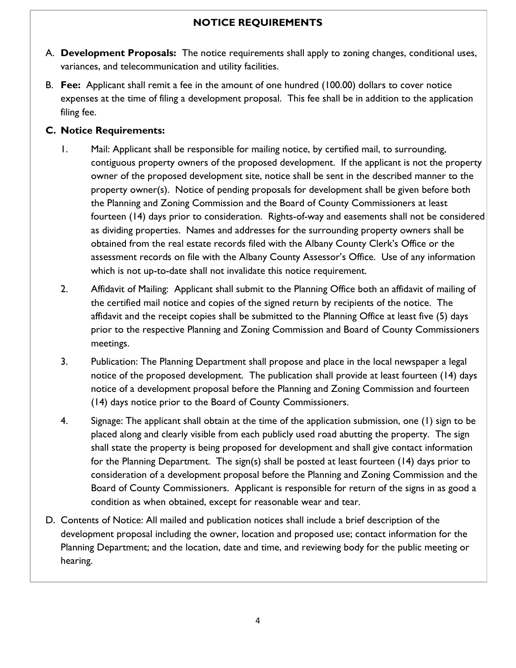# **NOTICE REQUIREMENTS**

- A. **Development Proposals:** The notice requirements shall apply to zoning changes, conditional uses, variances, and telecommunication and utility facilities.
- B. **Fee:** Applicant shall remit a fee in the amount of one hundred (100.00) dollars to cover notice expenses at the time of filing a development proposal. This fee shall be in addition to the application filing fee.

# **C. Notice Requirements:**

- 1. Mail: Applicant shall be responsible for mailing notice, by certified mail, to surrounding, contiguous property owners of the proposed development. If the applicant is not the property owner of the proposed development site, notice shall be sent in the described manner to the property owner(s). Notice of pending proposals for development shall be given before both the Planning and Zoning Commission and the Board of County Commissioners at least fourteen (14) days prior to consideration. Rights-of-way and easements shall not be considered as dividing properties. Names and addresses for the surrounding property owners shall be obtained from the real estate records filed with the Albany County Clerk's Office or the assessment records on file with the Albany County Assessor's Office. Use of any information which is not up-to-date shall not invalidate this notice requirement.
- 2. Affidavit of Mailing: Applicant shall submit to the Planning Office both an affidavit of mailing of the certified mail notice and copies of the signed return by recipients of the notice. The affidavit and the receipt copies shall be submitted to the Planning Office at least five (5) days prior to the respective Planning and Zoning Commission and Board of County Commissioners meetings.
- 3. Publication: The Planning Department shall propose and place in the local newspaper a legal notice of the proposed development. The publication shall provide at least fourteen (14) days notice of a development proposal before the Planning and Zoning Commission and fourteen (14) days notice prior to the Board of County Commissioners.
- 4. Signage: The applicant shall obtain at the time of the application submission, one (1) sign to be placed along and clearly visible from each publicly used road abutting the property. The sign shall state the property is being proposed for development and shall give contact information for the Planning Department. The sign(s) shall be posted at least fourteen (14) days prior to consideration of a development proposal before the Planning and Zoning Commission and the Board of County Commissioners. Applicant is responsible for return of the signs in as good a condition as when obtained, except for reasonable wear and tear.
- D. Contents of Notice: All mailed and publication notices shall include a brief description of the development proposal including the owner, location and proposed use; contact information for the Planning Department; and the location, date and time, and reviewing body for the public meeting or hearing.